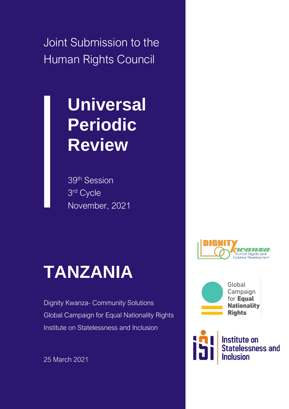Joint Submission to the Human Rights Council

# **Universal Periodic Review**

39th Session 3 rd Cycle November, 2021

# **TANZANIA**

Dignity Kwanza- Community Solutions Global Campaign for Equal Nationality Rights Institute on Statelessness and Inclusion

25 March 2021





Global Campaign for Equal **Nationality Rights** 

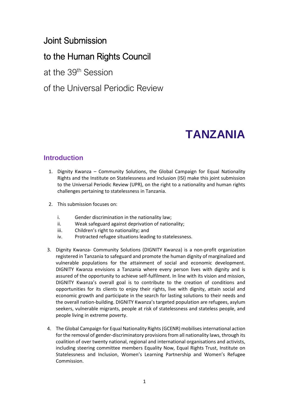### Joint Submission

### to the Human Rights Council

at the 39th Session

of the Universal Periodic Review

## **TANZANIA**

#### **Introduction**

- 1. Dignity Kwanza Community Solutions, the Global Campaign for Equal Nationality Rights and the Institute on Statelessness and Inclusion (ISI) make this joint submission to the Universal Periodic Review (UPR), on the right to a nationality and human rights challenges pertaining to statelessness in Tanzania.
- 2. This submission focuses on:
	- i. Gender discrimination in the nationality law;
	- ii. Weak safeguard against deprivation of nationality;
	- iii. Children's right to nationality; and
	- iv. Protracted refugee situations leading to statelessness.
- 3. Dignity Kwanza- Community Solutions (DIGNITY Kwanza) is a non-profit organization registered in Tanzania to safeguard and promote the human dignity of marginalized and vulnerable populations for the attainment of social and economic development. DIGNITY Kwanza envisions a Tanzania where every person lives with dignity and is assured of the opportunity to achieve self-fulfilment. In line with its vision and mission, DIGNITY Kwanza's overall goal is to contribute to the creation of conditions and opportunities for its clients to enjoy their rights, live with dignity, attain social and economic growth and participate in the search for lasting solutions to their needs and the overall nation-building. DIGNITY Kwanza's targeted population are refugees, asylum seekers, vulnerable migrants, people at risk of statelessness and stateless people, and people living in extreme poverty.
- 4. The Global Campaign for Equal Nationality Rights(GCENR) mobilises international action for the removal of gender-discriminatory provisions from all nationality laws, through its coalition of over twenty national, regional and international organisations and activists, including steering committee members Equality Now, Equal Rights Trust, Institute on Statelessness and Inclusion, Women's Learning Partnership and Women's Refugee Commission.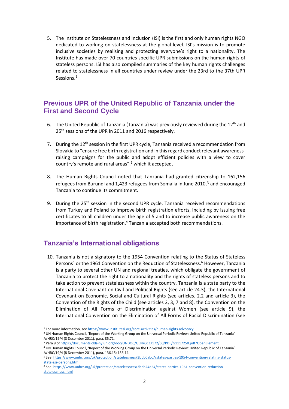5. The Institute on Statelessness and Inclusion (ISI) is the first and only human rights NGO dedicated to working on statelessness at the global level. ISI's mission is to promote inclusive societies by realising and protecting everyone's right to a nationality. The Institute has made over 70 countries specific UPR submissions on the human rights of stateless persons. ISI has also compiled summaries of the key human rights challenges related to statelessness in all countries under review under the 23rd to the 37th UPR Sessions.<sup>1</sup>

#### **Previous UPR of the United Republic of Tanzania under the First and Second Cycle**

- 6. The United Republic of Tanzania (Tanzania) was previously reviewed during the 12<sup>th</sup> and 25<sup>th</sup> sessions of the UPR in 2011 and 2016 respectively.
- 7. During the  $12<sup>th</sup>$  session in the first UPR cycle, Tanzania received a recommendation from Slovakia to "ensure free birth registration and in this regard conduct relevant awarenessraising campaigns for the public and adopt efficient policies with a view to cover country's remote and rural areas", $2$  which it accepted.
- 8. The Human Rights Council noted that Tanzania had granted citizenship to 162,156 refugees from Burundi and 1,423 refugees from Somalia in June 2010, $3$  and encouraged Tanzania to continue its commitment.
- 9. During the  $25<sup>th</sup>$  session in the second UPR cycle, Tanzania received recommendations from Turkey and Poland to improve birth registration efforts, including by issuing free certificates to all children under the age of 5 and to increase public awareness on the importance of birth registration.<sup>4</sup> Tanzania accepted both recommendations.

#### **Tanzania's International obligations**

10. Tanzania is not a signatory to the 1954 Convention relating to the Status of Stateless Persons<sup>5</sup> or the 1961 Convention on the Reduction of Statelessness.<sup>6</sup> However, Tanzania is a party to several other UN and regional treaties, which obligate the government of Tanzania to protect the right to a nationality and the rights of stateless persons and to take action to prevent statelessness within the country. Tanzania is a state party to the International Covenant on Civil and Political Rights (see article 24.3), the International Covenant on Economic, Social and Cultural Rights (see articles. 2.2 and article 3), the Convention of the Rights of the Child (see articles 2, 3, 7 and 8), the Convention on the Elimination of All Forms of Discrimination against Women (see article 9), the International Convention on the Elimination of All Forms of Racial Discrimination (see

<sup>1</sup> For more information, se[e https://www.institutesi.org/core-activities/human-rights-advocacy.](https://www.institutesi.org/core-activities/human-rights-advocacy)

<sup>2</sup> UN Human Rights Council, 'Report of the Working Group on the Universal Periodic Review: United Republic of Tanzania' A/HRC/19/4 (8 December 2011), para. 85.71.

<sup>3</sup> Para 9 o[f https://documents-dds-ny.un.org/doc/UNDOC/GEN/G11/172/50/PDF/G1117250.pdf?OpenElement.](https://documents-dds-ny.un.org/doc/UNDOC/GEN/G11/172/50/PDF/G1117250.pdf?OpenElement) 

<sup>4</sup> UN Human Rights Council, 'Report of the Working Group on the Universal Periodic Review: United Republic of Tanzania' A/HRC/19/4 (8 December 2011), para. 136.15; 136.14.

<sup>5</sup> See[: https://www.unhcr.org/uk/protection/statelessness/3bbb0abc7/states-parties-1954-convention-relating-status](https://www.unhcr.org/uk/protection/statelessness/3bbb0abc7/states-parties-1954-convention-relating-status-stateless-persons.html)[stateless-persons.html](https://www.unhcr.org/uk/protection/statelessness/3bbb0abc7/states-parties-1954-convention-relating-status-stateless-persons.html)

<sup>6</sup> See[: https://www.unhcr.org/uk/protection/statelessness/3bbb24d54/states-parties-1961-convention-reduction](https://www.unhcr.org/uk/protection/statelessness/3bbb24d54/states-parties-1961-convention-reduction-statelessness.html)[statelessness.html](https://www.unhcr.org/uk/protection/statelessness/3bbb24d54/states-parties-1961-convention-reduction-statelessness.html)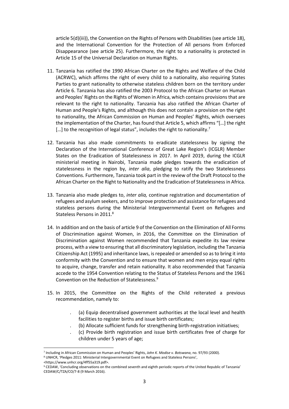article 5(d)(iii)), the Convention on the Rights of Persons with Disabilities (see article 18), and the International Convention for the Protection of All persons from Enforced Disappearance (see article 25). Furthermore, the right to a nationality is protected in Article 15 of the Universal Declaration on Human Rights.

- 11. Tanzania has ratified the 1990 African Charter on the Rights and Welfare of the Child (ACRWC), which affirms the right of every child to a nationality, also requiring States Parties to grant nationality to otherwise stateless children born on the territory under Article 6. Tanzania has also ratified the 2003 Protocol to the African Charter on Human and Peoples' Rights on the Rights of Women in Africa, which contains provisions that are relevant to the right to nationality. Tanzania has also ratified the African Charter of Human and People's Rights, and although this does not contain a provision on the right to nationality, the African Commission on Human and Peoples' Rights, which oversees the implementation of the Charter, has found that Article 5, which affirms "[…] the right [...] to the recognition of legal status", includes the right to nationality.<sup>7</sup>
- 12. Tanzania has also made commitments to eradicate statelessness by signing the Declaration of the International Conference of Great Lake Region's (ICGLR) Member States on the Eradication of Statelessness in 2017. In April 2019, during the ICGLR ministerial meeting in Nairobi, Tanzania made pledges towards the eradication of statelessness in the region by, *inter alia*, pledging to ratify the two Statelessness Conventions. Furthermore, Tanzania took part in the review of the Draft Protocol to the African Charter on the Right to Nationality and the Eradication of Statelessness in Africa.
- 13. Tanzania also made pledges to, *inter alia,* continue registration and documentation of refugees and asylum seekers, and to improve protection and assistance for refugees and stateless persons during the Ministerial Intergovernmental Event on Refugees and Stateless Persons in 2011.<sup>8</sup>
- 14. In addition and on the basis of article 9 of the Convention on the Elimination of All Forms of Discrimination against Women, in 2016, the Committee on the Elimination of Discrimination against Women recommended that Tanzania expedite its law review process, with a view to ensuring that all discriminatory legislation, including the Tanzania Citizenship Act (1995) and inheritance laws, is repealed or amended so as to bring it into conformity with the Convention and to ensure that women and men enjoy equal rights to acquire, change, transfer and retain nationality. It also recommended that Tanzania accede to the 1954 Convention relating to the Status of Stateless Persons and the 1961 Convention on the Reduction of Statelessness.<sup>9</sup>
- 15. In 2015, the Committee on the Rights of the Child reiterated a previous recommendation, namely to:
	- . (a) Equip decentralised government authorities at the local level and health facilities to register births and issue birth certificates;
	- . (b) Allocate sufficient funds for strengthening birth-registration initiatives;
	- . (c) Provide birth registration and issue birth certificates free of charge for children under 5 years of age;

<https://www.unhcr.org/4ff55a319.pdf>.

<sup>7</sup> Including in African Commission on Human and Peoples' Rights, *John K. Modise v. Botswana*, no. 97/93 (2000).

<sup>&</sup>lt;sup>8</sup> UNHCR, 'Pledges 2011: Ministerial Intergovernmental Event on Refugees and Stateless Persons',

<sup>9</sup> CEDAW, 'Concluding observations on the combined seventh and eighth periodic reports of the United Republic of Tanzania' CEDAW/C/TZA/CO/7-8 (9 March 2016).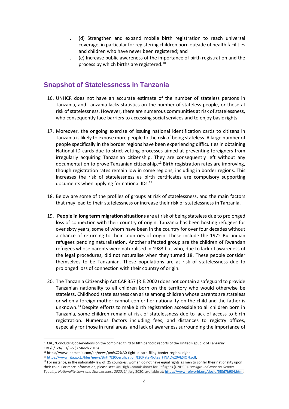- . (d) Strengthen and expand mobile birth registration to reach universal coverage, in particular for registering children born outside of health facilities and children who have never been registered; and
- . (e) Increase public awareness of the importance of birth registration and the process by which births are registered.<sup>10</sup>

#### **Snapshot of Statelessness in Tanzania**

- 16. UNHCR does not have an accurate estimate of the number of stateless persons in Tanzania, and Tanzania lacks statistics on the number of stateless people, or those at risk of statelessness. However, there are numerous communities at risk of statelessness, who consequently face barriers to accessing social services and to enjoy basic rights.
- 17. Moreover, the ongoing exercise of issuing national identification cards to citizens in Tanzania is likely to expose more people to the risk of being stateless. A large number of people specifically in the border regions have been experiencing difficulties in obtaining National ID cards due to strict vetting processes aimed at preventing foreigners from irregularly acquiring Tanzanian citizenship. They are consequently left without any documentation to prove Tanzanian citizenship. <sup>11</sup> Birth registration rates are improving, though registration rates remain low in some regions, including in border regions. This increases the risk of statelessness as birth certificates are compulsory supporting documents when applying for national IDs.<sup>12</sup>
- 18. Below are some of the profiles of groups at risk of statelessness, and the main factors that may lead to their statelessness or increase their risk of statelessness in Tanzania.
- 19. **People in long term migration situations** are at risk of being stateless due to prolonged loss of connection with their country of origin. Tanzania has been hosting refugees for over sixty years, some of whom have been in the country for over four decades without a chance of returning to their countries of origin. These include the 1972 Burundian refugees pending naturalisation. Another affected group are the children of Rwandan refugees whose parents were naturalised in 1983 but who, due to lack of awareness of the legal procedures, did not naturalise when they turned 18. These people consider themselves to be Tanzanian. These populations are at risk of statelessness due to prolonged loss of connection with their country of origin.
- 20. The Tanzania Citizenship Act CAP 357 (R.E.2002) does not contain a safeguard to provide Tanzanian nationality to all children born on the territory who would otherwise be stateless. Childhood statelessness can arise among children whose parents are stateless or when a foreign mother cannot confer her nationality on the child and the father is unknown.<sup>13</sup> Despite efforts to make birth registration accessible to all children born in Tanzania, some children remain at risk of statelessness due to lack of access to birth registration. Numerous factors including fees, and distances to registry offices, especially for those in rural areas, and lack of awareness surrounding the importance of

<sup>&</sup>lt;sup>10</sup> CRC, 'Concluding observations on the combined third to fifth periodic reports of the United Republic of Tanzania' CRC/C/TZA/CO/3-5 (3 March 2015).

<sup>11</sup> https://www.ippmedia.com/en/news/pm%C2%A0-tight-id-card-filing-border-regions-right

<sup>12</sup> [https://www.rita.go.tz/files/news/Birth%20Certification%20Rate-Notes\\_FINAL%20VESION.pdf.](https://www.rita.go.tz/files/news/Birth%20Certification%20Rate-Notes_FINAL%20VESION.pdf)

<sup>&</sup>lt;sup>13</sup> For instance, in the nationality law of 25 countries, women do not have equal rights as men to confer their nationality upon their child. For more information, please see: UN High Commissioner for Refugees (UNHCR), *Background Note on Gender Equality, Nationality Laws and Statelessness 2020*, 14 July 2020, available at[: https://www.refworld.org/docid/5f0d7b934.html.](https://www.refworld.org/docid/5f0d7b934.html)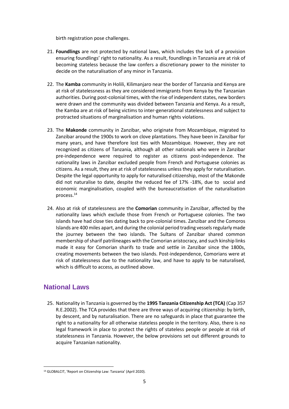birth registration pose challenges.

- 21. **Foundlings** are not protected by national laws, which includes the lack of a provision ensuring foundlings' right to nationality. As a result, foundlings in Tanzania are at risk of becoming stateless because the law confers a discretionary power to the minister to decide on the naturalisation of any minor in Tanzania.
- 22. The **Kamba** community in Holili, Kilimanjaro near the border of Tanzania and Kenya are at risk of statelessness as they are considered immigrants from Kenya by the Tanzanian authorities. During post-colonial times, with the rise of independent states, new borders were drawn and the community was divided between Tanzania and Kenya. As a result, the Kamba are at risk of being victims to inter-generational statelessness and subject to protracted situations of marginalisation and human rights violations.
- 23. The **Makonde** community in Zanzibar, who originate from Mozambique, migrated to Zanzibar around the 1900s to work on clove plantations. They have been in Zanzibar for many years, and have therefore lost ties with Mozambique. However, they are not recognized as citizens of Tanzania, although all other nationals who were in Zanzibar pre-independence were required to register as citizens post-independence. The nationality laws in Zanzibar excluded people from French and Portuguese colonies as citizens. As a result, they are at risk of statelessness unless they apply for naturalisation. Despite the legal opportunity to apply for naturalised citizenship, most of the Makonde did not naturalise to date, despite the reduced fee of 17% -18%, due to social and economic marginalisation, coupled with the bureaucratisation of the naturalisation process.<sup>14</sup>
- 24. Also at risk of statelessness are the **Comorian** community in Zanzibar, affected by the nationality laws which exclude those from French or Portuguese colonies. The two islands have had close ties dating back to pre-colonial times. Zanzibar and the Comoros Islands are 400 miles apart, and during the colonial period trading vessels regularly made the journey between the two islands. The Sultans of Zanzibar shared common membership of sharif patrilineages with the Comorian aristocracy, and such kinship links made it easy for Comorian sharifs to trade and settle in Zanzibar since the 1800s, creating movements between the two islands. Post-independence, Comorians were at risk of statelessness due to the nationality law, and have to apply to be naturalised, which is difficult to access, as outlined above.

#### **National Laws**

25. Nationality in Tanzania is governed by the **1995 Tanzania Citizenship Act (TCA)** (Cap 357 R.E.2002). The TCA provides that there are three ways of acquiring citizenship: by birth, by descent, and by naturalisation. There are no safeguards in place that guarantee the right to a nationality for all otherwise stateless people in the territory. Also, there is no legal framework in place to protect the rights of stateless people or people at risk of statelessness in Tanzania. However, the below provisions set out different grounds to acquire Tanzanian nationality.

<sup>14</sup> GLOBALCIT, 'Report on Citizenship Law: Tanzania' (April 2020).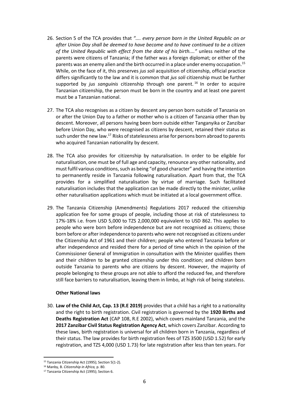- 26. Section 5 of the TCA provides that *".... every person born in the United Republic on or after Union Day shall be deemed to have become and to have continued to be a citizen of the United Republic with effect from the date of his birth...."* unless neither of the parents were citizens of Tanzania; if the father was a foreign diplomat; or either of the parents was an enemy alien and the birth occurred in a place under enemy occupation.<sup>15</sup> While, on the face of it, this preserves *jus soli* acquisition of citizenship, official practice differs significantly to the law and it is common that *jus soli* citizenship must be further supported by *jus sanguinis* citizenship through one parent.<sup>16</sup> In order to acquire Tanzanian citizenship, the person must be born in the country and at least one parent must be a Tanzanian national.
- 27. The TCA also recognises as a citizen by descent any person born outside of Tanzania on or after the Union Day to a father or mother who is a citizen of Tanzania other than by descent. Moreover, all persons having been born outside either Tanganyika or Zanzibar before Union Day, who were recognised as citizens by descent, retained their status as such under the new law.<sup>17</sup> Risks of statelessness arise for persons born abroad to parents who acquired Tanzanian nationality by descent.
- 28. The TCA also provides for citizenship by naturalisation. In order to be eligible for naturalisation, one must be of full age and capacity, renounce any other nationality, and must fulfil various conditions, such as being "of good character" and having the intention to permanently reside in Tanzania following naturalisation. Apart from that, the TCA provides for a simplified naturalisation by virtue of marriage. Such facilitated naturalisation includes that the application can be made directly to the minister, unlike other naturalisation applications which must be initiated at a local government office.
- 29. The Tanzania Citizenship (Amendments) Regulations 2017 reduced the citizenship application fee for some groups of people, including those at risk of statelessness to 17%-18% i.e. from USD 5,000 to TZS 2,000,000 equivalent to USD 862. This applies to people who were born before independence but are not recognised as citizens; those born before or after independence to parents who were not recognised as citizens under the Citizenship Act of 1961 and their children; people who entered Tanzania before or after independence and resided there for a period of time which in the opinion of the Commissioner General of Immigration in consultation with the Minister qualifies them and their children to be granted citizenship under this condition; and children born outside Tanzania to parents who are citizens by descent. However, the majority of people belonging to these groups are not able to afford the reduced fee, and therefore still face barriers to naturalisation, leaving them in limbo, at high risk of being stateless.

#### **Other National laws**

30. **Law of the Child Act, Cap. 13 (R.E 2019)** provides that a child has a right to a nationality and the right to birth registration. Civil registration is governed by the **1920 Births and Deaths Registration Act** (CAP 108, R.E 2002), which covers mainland Tanzania, and the **2017 Zanzibar Civil Status Registration Agency Act**, which covers Zanzibar. According to these laws, birth registration is universal for all children born in Tanzania, regardless of their status. The law provides for birth registration fees of TZS 3500 (USD 1.52) for early registration, and TZS 4,000 (USD 1.73) for late registration after less than ten years. For

<sup>15</sup> Tanzania Citizenship Act (1995); Section 5(1-2).

<sup>16</sup> Manby, B. *Citizenship in Africa,* p. 80.

<sup>17</sup> Tanzania Citizenship Act (1995); Section 6.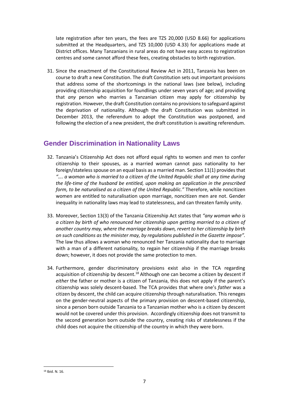late registration after ten years, the fees are TZS 20,000 (USD 8.66) for applications submitted at the Headquarters, and TZS 10,000 (USD 4.33) for applications made at District offices. Many Tanzanians in rural areas do not have easy access to registration centres and some cannot afford these fees, creating obstacles to birth registration.

31. Since the enactment of the Constitutional Review Act in 2011, Tanzania has been on course to draft a new Constitution. The draft Constitution sets out important provisions that address some of the shortcomings in the national laws (see below), including providing citizenship acquisition for foundlings under seven years of age; and providing that *any* person who marries a Tanzanian citizen may apply for citizenship by registration. However, the draft Constitution contains no provisions to safeguard against the deprivation of nationality. Although the draft Constitution was submitted in December 2013, the referendum to adopt the Constitution was postponed, and following the election of a new president, the draft constitution is awaiting referendum.

#### **Gender Discrimination in Nationality Laws**

- 32. Tanzania's Citizenship Act does not afford equal rights to women and men to confer citizenship to their spouses, as a married woman cannot pass nationality to her foreign/statelessspouse on an equal basis as a married man. Section 11(1) provides that *"…. a woman who is married to a citizen of the United Republic shall at any time during the life-time of the husband be entitled, upon making an application in the prescribed form, to be naturalised as a citizen of the United Republic."* Therefore, while noncitizen women are entitled to naturalisation upon marriage, noncitizen men are not. Gender inequality in nationality laws may lead to statelessness, and can threaten family unity.
- 33. Moreover, Section 13(3) of the Tanzania Citizenship Act states that *"any woman who is a citizen by birth of who renounced her citizenship upon getting married to a citizen of another country may, where the marriage breaks down, revert to her citizenship by birth on such conditions as the minister may, by regulations published in the Gazette impose".* The law thus allows a woman who renounced her Tanzania nationality due to marriage with a man of a different nationality, to regain her citizenship if the marriage breaks down; however, it does not provide the same protection to men.
- 34. Furthermore, gender discriminatory provisions exist also in the TCA regarding acquisition of citizenship by descent.<sup>18</sup> Although one can become a citizen by descent if *either* the father or mother is a citizen of Tanzania, this does not apply if the parent's citizenship was solely descent-based. The TCA provides that where one's *father* was a citizen by descent, the child can acquire citizenship through naturalisation. This reneges on the gender-neutral aspects of the primary provision on descent-based citizenship, since a person born outside Tanzania to a Tanzanian mother who is a citizen by descent would not be covered under this provision. Accordingly citizenship does not transmit to the second generation born outside the country, creating risks of statelessness if the child does not acquire the citizenship of the country in which they were born.

<sup>18</sup> Ibid. N. 16.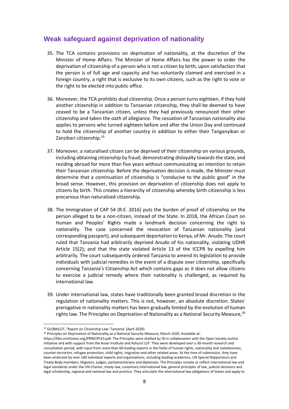#### **Weak safeguard against deprivation of nationality**

- 35. The TCA contains provisions on deprivation of nationality, at the discretion of the Minister of Home Affairs. The Minister of Home Affairs has the power to order the deprivation of citizenship of a person who is not a citizen by birth, upon satisfaction that the person is of full age and capacity and has voluntarily claimed and exercised in a foreign country, a right that is exclusive to its own citizens, such as the right to vote or the right to be elected into public office.
- 36. Moreover, the TCA prohibits dual citizenship. Once a person turns eighteen, if they hold another citizenship in addition to Tanzanian citizenship, they shall be deemed to have ceased to be a Tanzanian citizen, unless they had previously renounced their other citizenship and taken the oath of allegiance. The cessation of Tanzanian nationality also applies to persons who turned eighteen before and after the Union Day and continued to hold the citizenship of another country in addition to either their Tanganyikan or Zanzibari citizenship.<sup>19</sup>
- 37. Moreover, a naturalised citizen can be deprived of their citizenship on various grounds, including obtaining citizenship by fraud; demonstrating disloyalty towards the state, and residing abroad for more than five years without communicating an intention to retain their Tanzanian citizenship. Before the deprivation decision is made, the Minister must determine that a continuation of citizenship is "conducive to the public good" in the broad sense. However, this provision on deprivation of citizenship does not apply to citizens by birth. This creates a hierarchy of citizenship whereby birth citizenship is less precarious than naturalised citizenship.
- 38. The Immigration of CAP 54 (R.E. 2016) puts the burden of proof of citizenship on the person alleged to be a non-citizen, instead of the State. In 2018, the African Court on Human and Peoples' Rights made a landmark decision concerning the right to nationality. The case concerned the revocation of Tanzanian nationality (and corresponding passport), and subsequent deportation to Kenya, of Mr. Anudo. The court ruled that Tanzania had arbitrarily deprived Anudo of his nationality, violating UDHR Article 15(2); and that the state violated Article 13 of the ICCPR by expelling him arbitrarily. The court subsequently ordered Tanzania to amend its legislation to provide individuals with judicial remedies in the event of a dispute over citizenship, specifically concerning Tanzania's Citizenship Act which contains gaps as it does not allow citizens to exercise a judicial remedy where their nationality is challenged, as required by international law.
- 39. Under international law, states have traditionally been granted broad discretion in the regulation of nationality matters. This is not, however, an absolute discretion. States' prerogative in nationality matters has been gradually limited by the evolution of human rights law. The Principles on Deprivation of Nationality as a National Security Measure,<sup>20</sup>

<sup>20</sup> Principles on Deprivation of Nationality as a National Security Measure, March 2020. Available at:

<sup>19</sup> GLOBALCIT, 'Report on Citizenship Law: Tanzania' (April 2020)

https://files.institutesi.org/PRINCIPLES.pdf. The Principles were drafted by ISI in collaboration with the Open Society Justice Initiative and with support from the Asser Institute and Ashurst LLP. They were developed over a 30-month research and consultation period, with input from more than 60 leading experts in the fields of human rights, nationality and statelessness, counter-terrorism, refugee protection, child rights, migration and other related areas. At the time of submission, they have been endorsed by over 100 individual experts and organisations, including leading academics, UN Special Rapporteurs and Treaty Body members, litigators, judges, parliamentarians and diplomats. The Principles restate or reflect international law and legal standards under the UN Charter, treaty law, customary international law, general principles of law, judicial decisions and legal scholarship, regional and national law and practice. They articulate the international law obligations of States and apply to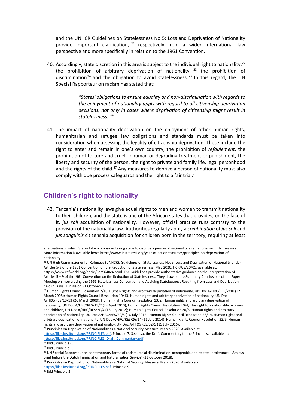and the UNHCR Guidelines on Statelessness No 5: Loss and Deprivation of Nationality provide important clarification,  $21$  respectively from a wider international law perspective and more specifically in relation to the 1961 Convention.

40. Accordingly, state discretion in this area is subject to the individual right to nationality,  $2^2$ the prohibition of arbitrary deprivation of nationality,  $23$  the prohibition of discrimination<sup>24</sup> and the obligation to avoid statelessness.<sup>25</sup> In this regard, the UN Special Rapporteur on racism has stated that:

> *"States' obligations to ensure equality and non-discrimination with regards to the enjoyment of nationality apply with regard to all citizenship deprivation decisions, not only in cases where deprivation of citizenship might result in statelessness."<sup>26</sup>*

41. The impact of nationality deprivation on the enjoyment of other human rights, humanitarian and refugee law obligations and standards must be taken into consideration when assessing the legality of citizenship deprivation. These include the right to enter and remain in one's own country, the prohibition of *refoulement*, the prohibition of torture and cruel, inhuman or degrading treatment or punishment, the liberty and security of the person, the right to private and family life, legal personhood and the rights of the child.<sup>27</sup> Any measures to deprive a person of nationality must also comply with due process safeguards and the right to a fair trial.<sup>28</sup>

#### **Children's right to nationality**

42. Tanzania's nationality laws give equal rights to men and women to transmit nationality to their children, and the state is one of the African states that provides, on the face of it, *jus soli* acquisition of nationality*.* However, official practice runs contrary to the provision of the nationality law. Authorities regularly apply a *combination* of *jus soli* and *jus sanguinis* citizenship acquisition for children born in the territory, requiring at least

<sup>24</sup> Ibid., Principle 6.

<sup>25</sup> Ibid., Principle 5.

[https://files.institutesi.org/PRINCIPLES.pdf,](https://files.institutesi.org/PRINCIPLES.pdf) Principle 9.

<sup>28</sup> Ibid Principle 8.

all situations in which States take or consider taking steps to deprive a person of nationality as a national security measure. More information is available here: https://www.institutesi.org/year-of-actionresources/principles-on-deprivation-ofnationality.

<sup>&</sup>lt;sup>21</sup> UN High Commissioner for Refugees (UNHCR), Guidelines on Statelessness No. 5: Loss and Deprivation of Nationality under Articles 5-9 of the 1961 Convention on the Reduction of Statelessness, May 2020, HCR/GS/20/05, available at: https://www.refworld.org/docid/5ec5640c4.html. The Guidelines provide authoritative guidance on the interpretation of Articles 5 – 9 of the1961 Convention on the Reduction of Statelessness. They draw on the Summary Conclusions of the Expert Meeting on Interpreting the 1961 Statelessness Convention and Avoiding Statelessness Resulting from Loss and Deprivation held in Tunis, Tunisia on 31 October-1.

<sup>22</sup> Human Rights Council Resolution 7/10, Human rights and arbitrary deprivation of nationality, UN Doc A/HRC/RES/7/10 (27 March 2008); Human Rights Council Resolution 10/13, Human rights and arbitrary deprivation of nationality, UN Doc A/HRC/RES/10/13 (26 March 2009); Human Rights Council Resolution 13/2, Human rights and arbitrary deprivation of nationality, UN Doc A/HRC/RES/13/2 (24 April 2010); Human Rights Council Resolution 20/4, The right to a nationality: women and children, UN Doc A/HRC/RES/20/4 (16 July 2012); Human Rights Council Resolution 20/5, Human rights and arbitrary deprivation of nationality, UN Doc A/HRC/RES/20/5 (16 July 2012); Human Rights Council Resolution 26/14, Human rights and arbitrary deprivation of nationality, UN Doc A/HRC/RES/26/14 (11 July 2014); Human Rights Council Resolution 32/5, Human rights and arbitrary deprivation of nationality, UN Doc A/HRC/RES/32/5 (15 July 2016).

<sup>&</sup>lt;sup>23</sup> Principles on Deprivation of Nationality as a National Security Measure, March 2020. Available at: [https://files.institutesi.org/PRINCIPLES.pdf,](https://files.institutesi.org/PRINCIPLES.pdf) Principle 7. See also, the Draft Commentary to the Principles, available at: [https://files.institutesi.org/PRINCIPLES\\_Draft\\_Commentary.pdf.](https://files.institutesi.org/PRINCIPLES_Draft_Commentary.pdf) 

<sup>&</sup>lt;sup>26</sup> UN Special Rapporteur on contemporary forms of racism, racial discrimination, xenophobia and related intolerance, ' Amicus Brief before the Dutch Immigration and Naturalisation Service' (23 October 2018).

<sup>&</sup>lt;sup>27</sup> Principles on Deprivation of Nationality as a National Security Measure, March 2020. Available at: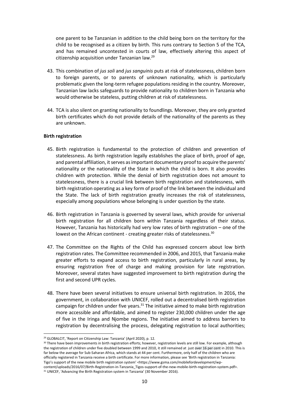one parent to be Tanzanian in addition to the child being born on the territory for the child to be recognised as a citizen by birth. This runs contrary to Section 5 of the TCA, and has remained uncontested in courts of law, effectively altering this aspect of citizenship acquisition under Tanzanian law.<sup>29</sup>

- 43. This combination of *jus soli* and *jus sanguinis* puts at risk of statelessness, children born to foreign parents, or to parents of unknown nationality, which is particularly problematic given the long-term refugee populations residing in the country. Moreover, Tanzanian law lacks safeguards to provide nationality to children born in Tanzania who would otherwise be stateless, putting children at risk of statelessness.
- 44. TCA is also silent on granting nationality to foundlings. Moreover, they are only granted birth certificates which do not provide details of the nationality of the parents as they are unknown.

#### **Birth registration**

- 45. Birth registration is fundamental to the protection of children and prevention of statelessness. As birth registration legally establishes the place of birth, proof of age, and parental affiliation, it serves as important documentary proof to acquire the parents' nationality or the nationality of the State in which the child is born. It also provides children with protection. While the denial of birth registration does not amount to statelessness, there is a crucial link between birth registration and statelessness, with birth registration operating as a key form of proof of the link between the individual and the State. The lack of birth registration greatly increases the risk of statelessness, especially among populations whose belonging is under question by the state.
- 46. Birth registration in Tanzania is governed by several laws, which provide for universal birth registration for all children born within Tanzania regardless of their status. However, Tanzania has historically had very low rates of birth registration – one of the lowest on the African continent - creating greater risks of statelessness.<sup>30</sup>
- 47. The Committee on the Rights of the Child has expressed concern about low birth registration rates. The Committee recommended in 2006, and 2015, that Tanzania make greater efforts to expand access to birth registration, particularly in rural areas, by ensuring registration free of charge and making provision for late registration. Moreover, several states have suggested improvement to birth registration during the first and second UPR cycles.
- 48. There have been several initiatives to ensure universal birth registration. In 2016, the government, in collaboration with UNICEF, rolled out a decentralised birth registration campaign for children under five years. $31$  The initiative aimed to make birth registration more accessible and affordable, and aimed to register 230,000 children under the age of five in the Iringa and Njombe regions. The initiative aimed to address barriers to registration by decentralising the process, delegating registration to local authorities;

<sup>29</sup> GLOBALCIT, 'Report on Citizenship Law: Tanzania' (April 2020), p. 12.

<sup>&</sup>lt;sup>30</sup> There have been improvements in birth registration efforts; however, registration levels are still low. For example, although the registration of children under five doubled between 1999 and 2010, it still remained at just over 16 per cent in 2010. This is far below the average for Sub-Saharan Africa, which stands at 44 per cent. Furthermore, only half of the children who are officially registered in Tanzania receive a birth certificate. For more information, please see 'Birth registration in Tanzania: Tigo's support of the new mobile birth registration system' <https://www.gsma.com/mobilefordevelopment/wpcontent/uploads/2016/07/Birth-Registration-in-Tanzania Tigos-support-of-the-new-mobile-birth-registration-system.pdf>.

<sup>&</sup>lt;sup>31</sup> UNICEF, 'Advancing the Birth Registration system in Tanzania' (30 November 2016).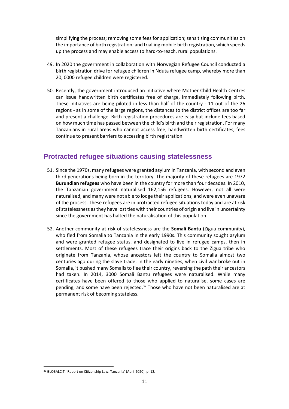simplifying the process; removing some fees for application; sensitising communities on the importance of birth registration; and trialling mobile birth registration, which speeds up the process and may enable access to hard-to-reach, rural populations.

- 49. In 2020 the government in collaboration with Norwegian Refugee Council conducted a birth registration drive for refugee children in Nduta refugee camp, whereby more than 20, 0000 refugee children were registered.
- 50. Recently, the government introduced an initiative where Mother Child Health Centres can issue handwritten birth certificates free of charge, immediately following birth. These initiatives are being piloted in less than half of the country - 11 out of the 26 regions - as in some of the large regions, the distances to the district offices are too far and present a challenge. Birth registration procedures are easy but include fees based on how much time has passed between the child's birth and their registration. For many Tanzanians in rural areas who cannot access free, handwritten birth certificates, fees continue to present barriers to accessing birth registration.

#### **Protracted refugee situations causing statelessness**

- 51. Since the 1970s, many refugees were granted asylum in Tanzania, with second and even third generations being born in the territory. The majority of these refugees are 1972 **Burundian refugees** who have been in the country for more than four decades. In 2010, the Tanzanian government naturalised 162,156 refugees. However, not all were naturalised, and many were not able to lodge their applications, and were even unaware of the process. These refugees are in protracted refugee situations today and are at risk of statelessness as they have lost ties with their countries of origin and live in uncertainty since the government has halted the naturalisation of this population.
- 52. Another community at risk of statelessness are the **Somali Bantu** (Zigua community), who fled from Somalia to Tanzania in the early 1990s. This community sought asylum and were granted refugee status, and designated to live in refugee camps, then in settlements. Most of these refugees trace their origins back to the Zigua tribe who originate from Tanzania, whose ancestors left the country to Somalia almost two centuries ago during the slave trade. In the early nineties, when civil war broke out in Somalia, it pushed many Somalis to flee their country, reversing the path their ancestors had taken. In 2014, 3000 Somali Bantu refugees were naturalised. While many certificates have been offered to those who applied to naturalise, some cases are pending, and some have been rejected. $32$  Those who have not been naturalised are at permanent risk of becoming stateless.

<sup>32</sup> GLOBALCIT, 'Report on Citizenship Law: Tanzania' (April 2020), p. 12.